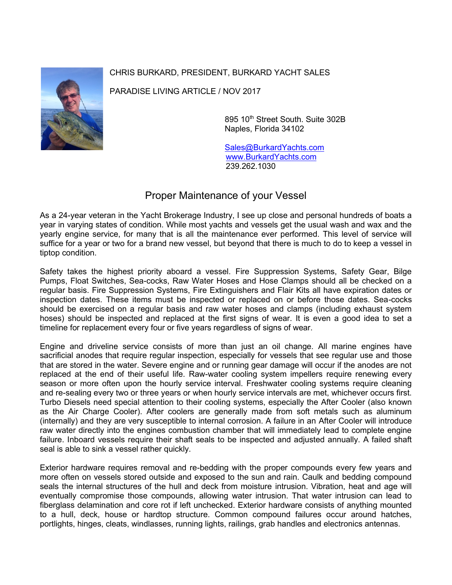## CHRIS BURKARD, PRESIDENT, BURKARD YACHT SALES



PARADISE LIVING ARTICLE / NOV 2017

895 10th Street South. Suite 302B Naples, Florida 34102

 [Sales@BurkardYachts.com](mailto:Sales@BurkardYachts.com) [www.BurkardYachts.com](http://www.burkardyachts.com/) 239.262.1030

## Proper Maintenance of your Vessel

As a 24-year veteran in the Yacht Brokerage Industry, I see up close and personal hundreds of boats a year in varying states of condition. While most yachts and vessels get the usual wash and wax and the yearly engine service, for many that is all the maintenance ever performed. This level of service will suffice for a year or two for a brand new vessel, but beyond that there is much to do to keep a vessel in tiptop condition.

Safety takes the highest priority aboard a vessel. Fire Suppression Systems, Safety Gear, Bilge Pumps, Float Switches, Sea-cocks, Raw Water Hoses and Hose Clamps should all be checked on a regular basis. Fire Suppression Systems, Fire Extinguishers and Flair Kits all have expiration dates or inspection dates. These items must be inspected or replaced on or before those dates. Sea-cocks should be exercised on a regular basis and raw water hoses and clamps (including exhaust system hoses) should be inspected and replaced at the first signs of wear. It is even a good idea to set a timeline for replacement every four or five years regardless of signs of wear.

Engine and driveline service consists of more than just an oil change. All marine engines have sacrificial anodes that require regular inspection, especially for vessels that see regular use and those that are stored in the water. Severe engine and or running gear damage will occur if the anodes are not replaced at the end of their useful life. Raw-water cooling system impellers require renewing every season or more often upon the hourly service interval. Freshwater cooling systems require cleaning and re-sealing every two or three years or when hourly service intervals are met, whichever occurs first. Turbo Diesels need special attention to their cooling systems, especially the After Cooler (also known as the Air Charge Cooler). After coolers are generally made from soft metals such as aluminum (internally) and they are very susceptible to internal corrosion. A failure in an After Cooler will introduce raw water directly into the engines combustion chamber that will immediately lead to complete engine failure. Inboard vessels require their shaft seals to be inspected and adjusted annually. A failed shaft seal is able to sink a vessel rather quickly.

Exterior hardware requires removal and re-bedding with the proper compounds every few years and more often on vessels stored outside and exposed to the sun and rain. Caulk and bedding compound seals the internal structures of the hull and deck from moisture intrusion. Vibration, heat and age will eventually compromise those compounds, allowing water intrusion. That water intrusion can lead to fiberglass delamination and core rot if left unchecked. Exterior hardware consists of anything mounted to a hull, deck, house or hardtop structure. Common compound failures occur around hatches, portlights, hinges, cleats, windlasses, running lights, railings, grab handles and electronics antennas.